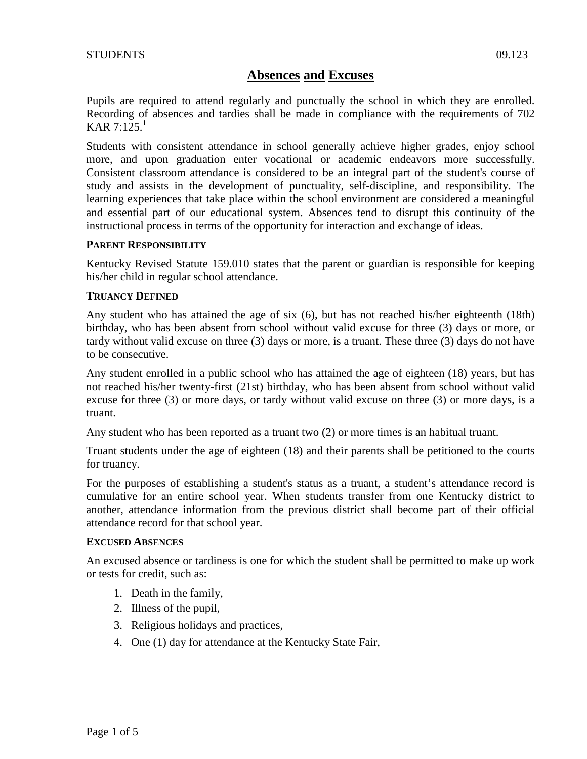Pupils are required to attend regularly and punctually the school in which they are enrolled. Recording of absences and tardies shall be made in compliance with the requirements of 702 KAR  $7:125<sup>1</sup>$ 

Students with consistent attendance in school generally achieve higher grades, enjoy school more, and upon graduation enter vocational or academic endeavors more successfully. Consistent classroom attendance is considered to be an integral part of the student's course of study and assists in the development of punctuality, self-discipline, and responsibility. The learning experiences that take place within the school environment are considered a meaningful and essential part of our educational system. Absences tend to disrupt this continuity of the instructional process in terms of the opportunity for interaction and exchange of ideas.

# **PARENT RESPONSIBILITY**

Kentucky Revised Statute 159.010 states that the parent or guardian is responsible for keeping his/her child in regular school attendance.

# **TRUANCY DEFINED**

Any student who has attained the age of six (6), but has not reached his/her eighteenth (18th) birthday, who has been absent from school without valid excuse for three (3) days or more, or tardy without valid excuse on three (3) days or more, is a truant. These three (3) days do not have to be consecutive.

Any student enrolled in a public school who has attained the age of eighteen (18) years, but has not reached his/her twenty-first (21st) birthday, who has been absent from school without valid excuse for three (3) or more days, or tardy without valid excuse on three (3) or more days, is a truant.

Any student who has been reported as a truant two (2) or more times is an habitual truant.

Truant students under the age of eighteen (18) and their parents shall be petitioned to the courts for truancy.

For the purposes of establishing a student's status as a truant, a student's attendance record is cumulative for an entire school year. When students transfer from one Kentucky district to another, attendance information from the previous district shall become part of their official attendance record for that school year.

## **EXCUSED ABSENCES**

An excused absence or tardiness is one for which the student shall be permitted to make up work or tests for credit, such as:

- 1. Death in the family,
- 2. Illness of the pupil,
- 3. Religious holidays and practices,
- 4. One (1) day for attendance at the Kentucky State Fair,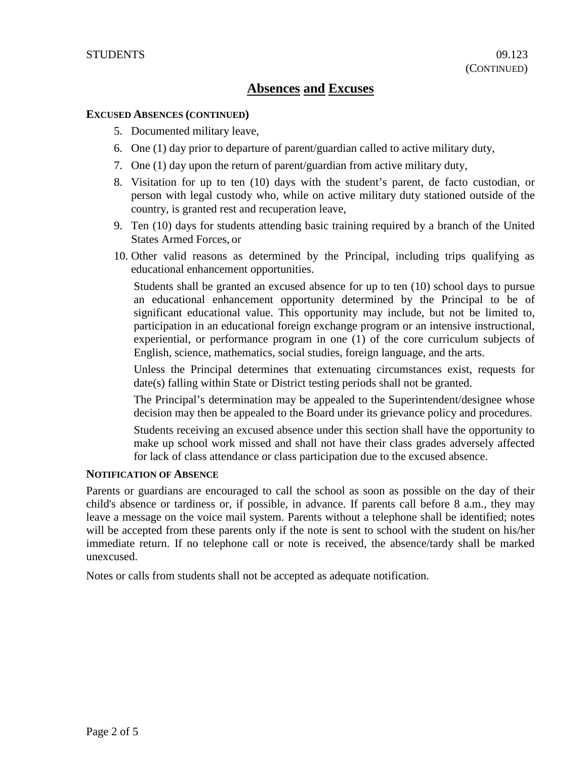#### **EXCUSED ABSENCES (CONTINUED)**

- 5. Documented military leave,
- 6. One (1) day prior to departure of parent/guardian called to active military duty,
- 7. One (1) day upon the return of parent/guardian from active military duty,
- 8. Visitation for up to ten (10) days with the student's parent, de facto custodian, or person with legal custody who, while on active military duty stationed outside of the country, is granted rest and recuperation leave,
- 9. Ten (10) days for students attending basic training required by a branch of the United States Armed Forces, or
- 10. Other valid reasons as determined by the Principal, including trips qualifying as educational enhancement opportunities.

Students shall be granted an excused absence for up to ten (10) school days to pursue an educational enhancement opportunity determined by the Principal to be of significant educational value. This opportunity may include, but not be limited to, participation in an educational foreign exchange program or an intensive instructional, experiential, or performance program in one (1) of the core curriculum subjects of English, science, mathematics, social studies, foreign language, and the arts.

Unless the Principal determines that extenuating circumstances exist, requests for date(s) falling within State or District testing periods shall not be granted.

The Principal's determination may be appealed to the Superintendent/designee whose decision may then be appealed to the Board under its grievance policy and procedures.

Students receiving an excused absence under this section shall have the opportunity to make up school work missed and shall not have their class grades adversely affected for lack of class attendance or class participation due to the excused absence.

### **NOTIFICATION OF ABSENCE**

Parents or guardians are encouraged to call the school as soon as possible on the day of their child's absence or tardiness or, if possible, in advance. If parents call before 8 a.m., they may leave a message on the voice mail system. Parents without a telephone shall be identified; notes will be accepted from these parents only if the note is sent to school with the student on his/her immediate return. If no telephone call or note is received, the absence/tardy shall be marked unexcused.

Notes or calls from students shall not be accepted as adequate notification.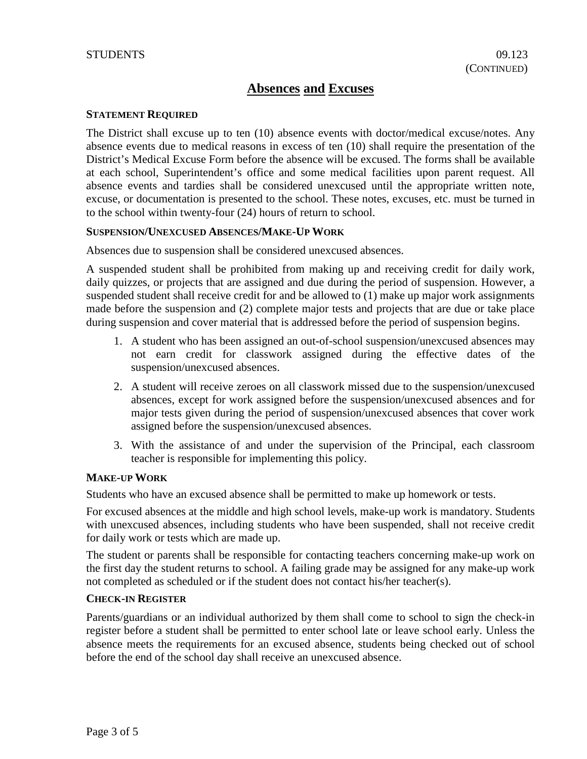#### **STATEMENT REQUIRED**

The District shall excuse up to ten (10) absence events with doctor/medical excuse/notes. Any absence events due to medical reasons in excess of ten (10) shall require the presentation of the District's Medical Excuse Form before the absence will be excused. The forms shall be available at each school, Superintendent's office and some medical facilities upon parent request. All absence events and tardies shall be considered unexcused until the appropriate written note, excuse, or documentation is presented to the school. These notes, excuses, etc. must be turned in to the school within twenty-four (24) hours of return to school.

#### **SUSPENSION/UNEXCUSED ABSENCES/MAKE-UP WORK**

Absences due to suspension shall be considered unexcused absences.

A suspended student shall be prohibited from making up and receiving credit for daily work, daily quizzes, or projects that are assigned and due during the period of suspension. However, a suspended student shall receive credit for and be allowed to (1) make up major work assignments made before the suspension and (2) complete major tests and projects that are due or take place during suspension and cover material that is addressed before the period of suspension begins.

- 1. A student who has been assigned an out-of-school suspension/unexcused absences may not earn credit for classwork assigned during the effective dates of the suspension/unexcused absences.
- 2. A student will receive zeroes on all classwork missed due to the suspension/unexcused absences, except for work assigned before the suspension/unexcused absences and for major tests given during the period of suspension/unexcused absences that cover work assigned before the suspension/unexcused absences.
- 3. With the assistance of and under the supervision of the Principal, each classroom teacher is responsible for implementing this policy.

#### **MAKE-UP WORK**

Students who have an excused absence shall be permitted to make up homework or tests.

For excused absences at the middle and high school levels, make-up work is mandatory. Students with unexcused absences, including students who have been suspended, shall not receive credit for daily work or tests which are made up.

The student or parents shall be responsible for contacting teachers concerning make-up work on the first day the student returns to school. A failing grade may be assigned for any make-up work not completed as scheduled or if the student does not contact his/her teacher(s).

#### **CHECK-IN REGISTER**

Parents/guardians or an individual authorized by them shall come to school to sign the check-in register before a student shall be permitted to enter school late or leave school early. Unless the absence meets the requirements for an excused absence, students being checked out of school before the end of the school day shall receive an unexcused absence.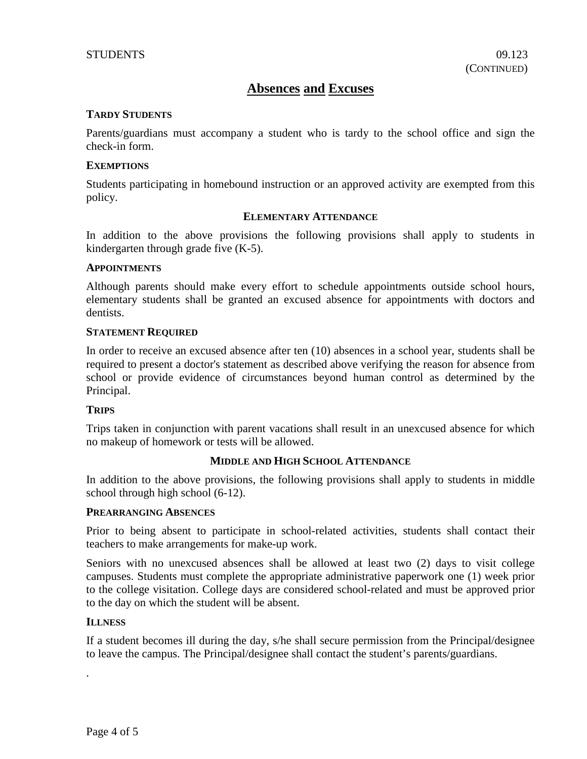#### **TARDY STUDENTS**

Parents/guardians must accompany a student who is tardy to the school office and sign the check-in form.

#### **EXEMPTIONS**

Students participating in homebound instruction or an approved activity are exempted from this policy.

#### **ELEMENTARY ATTENDANCE**

In addition to the above provisions the following provisions shall apply to students in kindergarten through grade five (K-5).

#### **APPOINTMENTS**

Although parents should make every effort to schedule appointments outside school hours, elementary students shall be granted an excused absence for appointments with doctors and dentists.

#### **STATEMENT REQUIRED**

In order to receive an excused absence after ten (10) absences in a school year, students shall be required to present a doctor's statement as described above verifying the reason for absence from school or provide evidence of circumstances beyond human control as determined by the Principal.

## **TRIPS**

Trips taken in conjunction with parent vacations shall result in an unexcused absence for which no makeup of homework or tests will be allowed.

## **MIDDLE AND HIGH SCHOOL ATTENDANCE**

In addition to the above provisions, the following provisions shall apply to students in middle school through high school (6-12).

#### **PREARRANGING ABSENCES**

Prior to being absent to participate in school-related activities, students shall contact their teachers to make arrangements for make-up work.

Seniors with no unexcused absences shall be allowed at least two (2) days to visit college campuses. Students must complete the appropriate administrative paperwork one (1) week prior to the college visitation. College days are considered school-related and must be approved prior to the day on which the student will be absent.

#### **ILLNESS**

.

If a student becomes ill during the day, s/he shall secure permission from the Principal/designee to leave the campus. The Principal/designee shall contact the student's parents/guardians.